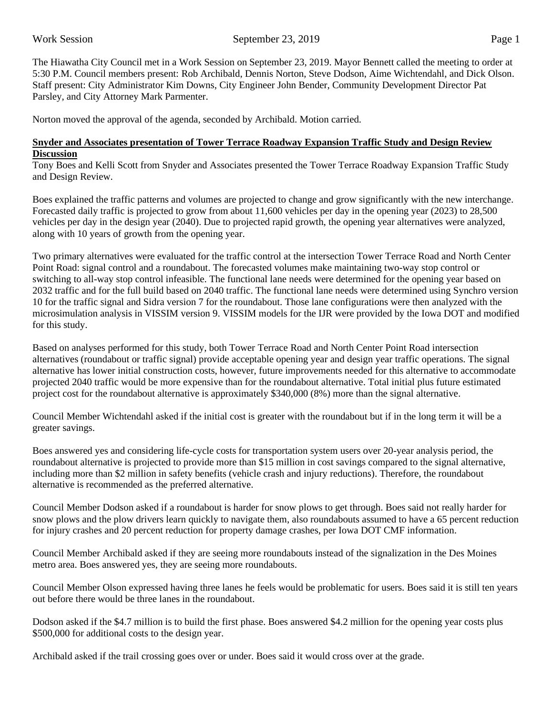The Hiawatha City Council met in a Work Session on September 23, 2019. Mayor Bennett called the meeting to order at 5:30 P.M. Council members present: Rob Archibald, Dennis Norton, Steve Dodson, Aime Wichtendahl, and Dick Olson. Staff present: City Administrator Kim Downs, City Engineer John Bender, Community Development Director Pat Parsley, and City Attorney Mark Parmenter.

Norton moved the approval of the agenda, seconded by Archibald. Motion carried.

## **Snyder and Associates presentation of Tower Terrace Roadway Expansion Traffic Study and Design Review Discussion**

Tony Boes and Kelli Scott from Snyder and Associates presented the Tower Terrace Roadway Expansion Traffic Study and Design Review.

Boes explained the traffic patterns and volumes are projected to change and grow significantly with the new interchange. Forecasted daily traffic is projected to grow from about 11,600 vehicles per day in the opening year (2023) to 28,500 vehicles per day in the design year (2040). Due to projected rapid growth, the opening year alternatives were analyzed, along with 10 years of growth from the opening year.

Two primary alternatives were evaluated for the traffic control at the intersection Tower Terrace Road and North Center Point Road: signal control and a roundabout. The forecasted volumes make maintaining two-way stop control or switching to all-way stop control infeasible. The functional lane needs were determined for the opening year based on 2032 traffic and for the full build based on 2040 traffic. The functional lane needs were determined using Synchro version 10 for the traffic signal and Sidra version 7 for the roundabout. Those lane configurations were then analyzed with the microsimulation analysis in VISSIM version 9. VISSIM models for the IJR were provided by the Iowa DOT and modified for this study.

Based on analyses performed for this study, both Tower Terrace Road and North Center Point Road intersection alternatives (roundabout or traffic signal) provide acceptable opening year and design year traffic operations. The signal alternative has lower initial construction costs, however, future improvements needed for this alternative to accommodate projected 2040 traffic would be more expensive than for the roundabout alternative. Total initial plus future estimated project cost for the roundabout alternative is approximately \$340,000 (8%) more than the signal alternative.

Council Member Wichtendahl asked if the initial cost is greater with the roundabout but if in the long term it will be a greater savings.

Boes answered yes and considering life-cycle costs for transportation system users over 20-year analysis period, the roundabout alternative is projected to provide more than \$15 million in cost savings compared to the signal alternative, including more than \$2 million in safety benefits (vehicle crash and injury reductions). Therefore, the roundabout alternative is recommended as the preferred alternative.

Council Member Dodson asked if a roundabout is harder for snow plows to get through. Boes said not really harder for snow plows and the plow drivers learn quickly to navigate them, also roundabouts assumed to have a 65 percent reduction for injury crashes and 20 percent reduction for property damage crashes, per Iowa DOT CMF information.

Council Member Archibald asked if they are seeing more roundabouts instead of the signalization in the Des Moines metro area. Boes answered yes, they are seeing more roundabouts.

Council Member Olson expressed having three lanes he feels would be problematic for users. Boes said it is still ten years out before there would be three lanes in the roundabout.

Dodson asked if the \$4.7 million is to build the first phase. Boes answered \$4.2 million for the opening year costs plus \$500,000 for additional costs to the design year.

Archibald asked if the trail crossing goes over or under. Boes said it would cross over at the grade.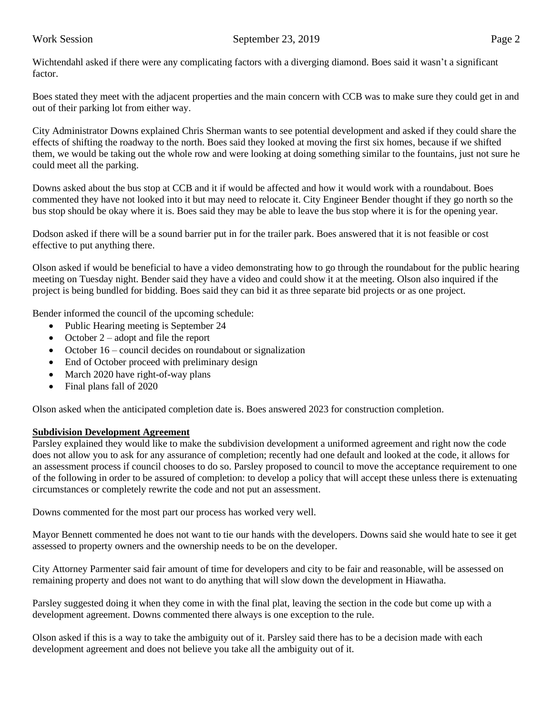Wichtendahl asked if there were any complicating factors with a diverging diamond. Boes said it wasn't a significant factor.

Boes stated they meet with the adjacent properties and the main concern with CCB was to make sure they could get in and out of their parking lot from either way.

City Administrator Downs explained Chris Sherman wants to see potential development and asked if they could share the effects of shifting the roadway to the north. Boes said they looked at moving the first six homes, because if we shifted them, we would be taking out the whole row and were looking at doing something similar to the fountains, just not sure he could meet all the parking.

Downs asked about the bus stop at CCB and it if would be affected and how it would work with a roundabout. Boes commented they have not looked into it but may need to relocate it. City Engineer Bender thought if they go north so the bus stop should be okay where it is. Boes said they may be able to leave the bus stop where it is for the opening year.

Dodson asked if there will be a sound barrier put in for the trailer park. Boes answered that it is not feasible or cost effective to put anything there.

Olson asked if would be beneficial to have a video demonstrating how to go through the roundabout for the public hearing meeting on Tuesday night. Bender said they have a video and could show it at the meeting. Olson also inquired if the project is being bundled for bidding. Boes said they can bid it as three separate bid projects or as one project.

Bender informed the council of the upcoming schedule:

- Public Hearing meeting is September 24
- October 2 adopt and file the report
- October 16 council decides on roundabout or signalization
- End of October proceed with preliminary design
- March 2020 have right-of-way plans
- Final plans fall of 2020

Olson asked when the anticipated completion date is. Boes answered 2023 for construction completion.

## **Subdivision Development Agreement**

Parsley explained they would like to make the subdivision development a uniformed agreement and right now the code does not allow you to ask for any assurance of completion; recently had one default and looked at the code, it allows for an assessment process if council chooses to do so. Parsley proposed to council to move the acceptance requirement to one of the following in order to be assured of completion: to develop a policy that will accept these unless there is extenuating circumstances or completely rewrite the code and not put an assessment.

Downs commented for the most part our process has worked very well.

Mayor Bennett commented he does not want to tie our hands with the developers. Downs said she would hate to see it get assessed to property owners and the ownership needs to be on the developer.

City Attorney Parmenter said fair amount of time for developers and city to be fair and reasonable, will be assessed on remaining property and does not want to do anything that will slow down the development in Hiawatha.

Parsley suggested doing it when they come in with the final plat, leaving the section in the code but come up with a development agreement. Downs commented there always is one exception to the rule.

Olson asked if this is a way to take the ambiguity out of it. Parsley said there has to be a decision made with each development agreement and does not believe you take all the ambiguity out of it.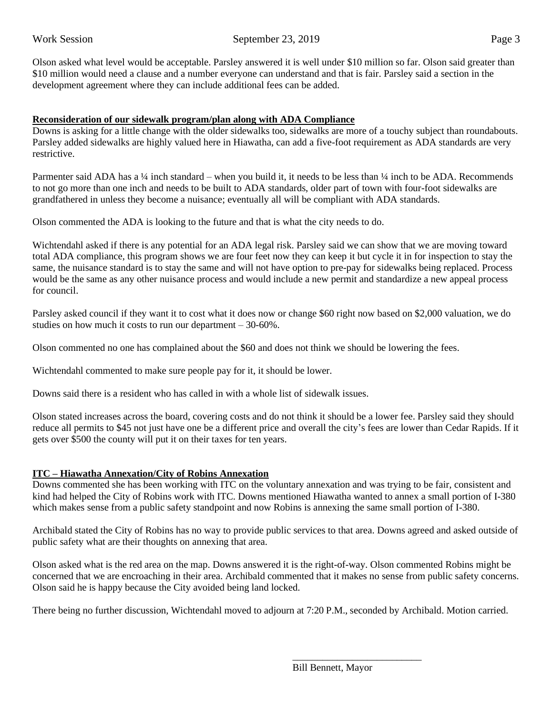Olson asked what level would be acceptable. Parsley answered it is well under \$10 million so far. Olson said greater than \$10 million would need a clause and a number everyone can understand and that is fair. Parsley said a section in the development agreement where they can include additional fees can be added.

## **Reconsideration of our sidewalk program/plan along with ADA Compliance**

Downs is asking for a little change with the older sidewalks too, sidewalks are more of a touchy subject than roundabouts. Parsley added sidewalks are highly valued here in Hiawatha, can add a five-foot requirement as ADA standards are very restrictive.

Parmenter said ADA has a ¼ inch standard – when you build it, it needs to be less than ¼ inch to be ADA. Recommends to not go more than one inch and needs to be built to ADA standards, older part of town with four-foot sidewalks are grandfathered in unless they become a nuisance; eventually all will be compliant with ADA standards.

Olson commented the ADA is looking to the future and that is what the city needs to do.

Wichtendahl asked if there is any potential for an ADA legal risk. Parsley said we can show that we are moving toward total ADA compliance, this program shows we are four feet now they can keep it but cycle it in for inspection to stay the same, the nuisance standard is to stay the same and will not have option to pre-pay for sidewalks being replaced. Process would be the same as any other nuisance process and would include a new permit and standardize a new appeal process for council.

Parsley asked council if they want it to cost what it does now or change \$60 right now based on \$2,000 valuation, we do studies on how much it costs to run our department – 30-60%.

Olson commented no one has complained about the \$60 and does not think we should be lowering the fees.

Wichtendahl commented to make sure people pay for it, it should be lower.

Downs said there is a resident who has called in with a whole list of sidewalk issues.

Olson stated increases across the board, covering costs and do not think it should be a lower fee. Parsley said they should reduce all permits to \$45 not just have one be a different price and overall the city's fees are lower than Cedar Rapids. If it gets over \$500 the county will put it on their taxes for ten years.

## **ITC – Hiawatha Annexation/City of Robins Annexation**

Downs commented she has been working with ITC on the voluntary annexation and was trying to be fair, consistent and kind had helped the City of Robins work with ITC. Downs mentioned Hiawatha wanted to annex a small portion of I-380 which makes sense from a public safety standpoint and now Robins is annexing the same small portion of I-380.

Archibald stated the City of Robins has no way to provide public services to that area. Downs agreed and asked outside of public safety what are their thoughts on annexing that area.

Olson asked what is the red area on the map. Downs answered it is the right-of-way. Olson commented Robins might be concerned that we are encroaching in their area. Archibald commented that it makes no sense from public safety concerns. Olson said he is happy because the City avoided being land locked.

There being no further discussion, Wichtendahl moved to adjourn at 7:20 P.M., seconded by Archibald. Motion carried.

 $\overline{\phantom{a}}$  , and the contract of the contract of the contract of the contract of the contract of the contract of the contract of the contract of the contract of the contract of the contract of the contract of the contrac

Bill Bennett, Mayor